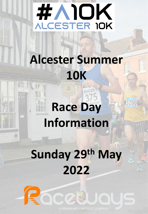

## **Alcester Summer 10K**

# **Race Day Information**

5280

## **Sunday 29th May 2022**

acad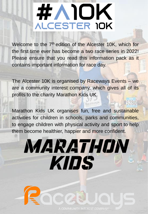# #AIOK **ALCESTER IOK**

Welcome to the 7<sup>th</sup> edition of the Alcester 10K, which for the first time ever has become a two race series in 2022! Please ensure that you read this information pack as it contains important information for race day.

The Alcester 10K is organised by Raceways Events – we are a community interest company, which gives all of its profits to the charity Marathon Kids UK.

Raceways

Marathon Kids UK organises fun, free and sustainable activities for children in schools, parks and communities, to engage children with physical activity and sport to help them become healthier, happier and more confident.

# MARATHON **KIDS**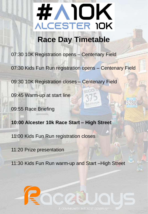

#### **Race Day Timetable**

07:30 10K Registration opens – Centenary Field

07:30 Kids Fun Run registration opens – Centenary Field

09:30 10K Registration closes – Centenary Field

09:45 Warm-up at start line

09:55 Race Briefing

**10:00 Alcester 10k Race Start – High Street** 

11:00 Kids Fun Run registration closes

11:20 Prize presentation

11:30 Kids Fun Run warm-up and Start –High Street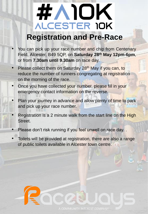# **EAIOK ALCESTER IOK**

#### **Registration and Pre-Race**

- You can pick up your race number and chip from Centenary Field, Alcester, B49 5QP, on **Saturday 28th May 12pm-6pm**, or from **7.30am until 9.30am** on race day.
- Please collect them on Saturday 28<sup>th</sup> May if you can, to reduce the number of runners congregating at registration on the morning of the race.
- Once you have collected your number, please fill in your emergency contact information on the reverse.
- Plan your journey in advance and allow plenty of time to park and pick up your race number.
- Registration is a 2 minute walk from the start line on the High Street.
- Please don't risk running if you feel unwell on race day. .
- Toilets will be provided at registration, there are also a range of public toilets available in Alcester town centre.

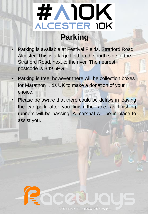## #VIOK ALCESTER 10K **Parking**

- Parking is available at Festival Fields, Stratford Road, Alcester. This is a large field on the north side of the Stratford Road, next to the river. The nearest postcode is B49 6PG. 18
- Parking is free, however there will be collection boxes for Marathon Kids UK to make a donation of your choice.
- Please be aware that there could be delays in leaving the car park after you finish the race, as finishing runners will be passing. A marshal will be in place to assist you.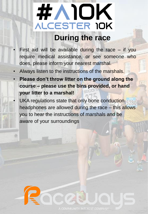### # AIOK ALCESTER IOK **During the race**

- First aid will be available during the race  $-$  if you require medical assistance, or see someone who does, please inform your nearest marshal.
- Always listen to the instructions of the marshals.
- **Please don't throw litter on the ground along the course – please use the bins provided, or hand your litter to a marshal!**
- UKA regulations state that only bone conduction headphones are allowed during the race – this allows you to hear the instructions of marshals and be aware of your surroundings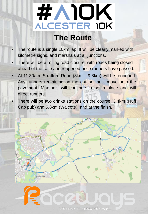### #VIOK ALCESTER 10K **The Route**

- The route is a single 10km lap. It will be clearly marked with kilometre signs, and marshals at all junctions.
- There will be a rolling road closure, with roads being closed ahead of the race and reopened once runners have passed.
- At 11.30am, Stratford Road (8km 9.8km) will be reopened. Any runners remaining on the course must move onto the pavement. Marshals will continue to be in place and will direct runners.

TITT

There will be two drinks stations on the course: 3.4km (Huff Cap pub) and 5.8km (Walcote), and at the finish.

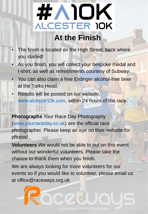#### #AIOK **ALCESTER IOK At the Finish**

- The finish is located on the High Street, back where you started!
- As you finish, you will collect your bespoke medal and t-shirt, as well as refreshments courtesy of Subway.
- You can also claim a free Erdinger alcohol-free beer at the Turks Head.
- Results will be posted on our website, www.alcester10k.com, within 24 hours of the race.

**Photographs** Your Race Day Photography (www.yourraceday.co.uk) are the official race photographer. Please keep an eye on their website for photos!

**Volunteers** We would not be able to put on this event without our wonderful volunteers. Please take the chance to thank them when you finish.

We are always looking for more volunteers for our events so if you would like to volunteer, please email us at office@raceways.org.uk.